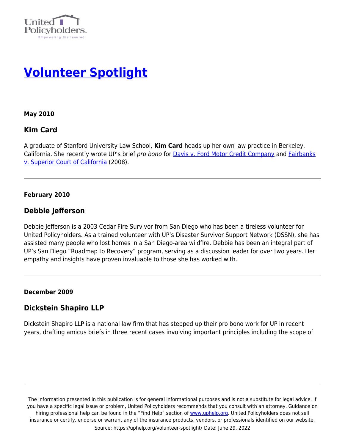



**May 2010**

# **Kim Card**

A graduate of Stanford University Law School, **Kim Card** heads up her own law practice in Berkeley, California. She recently wrote UP's brief pro bono for [Davis v. Ford Motor Credit Company](https://uphelp.org/amicus-briefs/davis-vs-ford-motor-credit-company/) and [Fairbanks](https://uphelp.org/amicus-briefs/fairbanks-vs-superior-court-of-california-farmers-new-world-life-insurance-co-et-al/) [v. Superior Court of California](https://uphelp.org/amicus-briefs/fairbanks-vs-superior-court-of-california-farmers-new-world-life-insurance-co-et-al/) (2008).

#### **February 2010**

### **Debbie Jefferson**

Debbie Jefferson is a 2003 Cedar Fire Survivor from San Diego who has been a tireless volunteer for United Policyholders. As a trained volunteer with UP's Disaster Survivor Support Network (DSSN), she has assisted many people who lost homes in a San Diego-area wildfire. Debbie has been an integral part of UP's San Diego "Roadmap to Recovery" program, serving as a discussion leader for over two years. Her empathy and insights have proven invaluable to those she has worked with.

#### **December 2009**

# **Dickstein Shapiro LLP**

Dickstein Shapiro LLP is a national law firm that has stepped up their pro bono work for UP in recent years, drafting amicus briefs in three recent cases involving important principles including the scope of

The information presented in this publication is for general informational purposes and is not a substitute for legal advice. If you have a specific legal issue or problem, United Policyholders recommends that you consult with an attorney. Guidance on hiring professional help can be found in the "Find Help" section of [www.uphelp.org.](http://www.uphelp.org/) United Policyholders does not sell insurance or certify, endorse or warrant any of the insurance products, vendors, or professionals identified on our website. Source: https://uphelp.org/volunteer-spotlight/ Date: June 29, 2022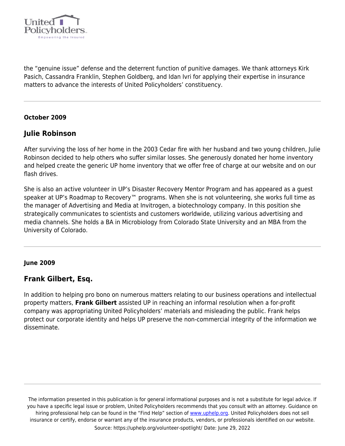

the "genuine issue" defense and the deterrent function of punitive damages. We thank attorneys Kirk Pasich, Cassandra Franklin, Stephen Goldberg, and Idan Ivri for applying their expertise in insurance matters to advance the interests of United Policyholders' constituency.

#### **October 2009**

### **Julie Robinson**

After surviving the loss of her home in the 2003 Cedar fire with her husband and two young children, Julie Robinson decided to help others who suffer similar losses. She generously donated her home inventory and helped create the generic UP home inventory that we offer free of charge at our website and on our flash drives.

She is also an active volunteer in UP's Disaster Recovery Mentor Program and has appeared as a guest speaker at UP's Roadmap to Recovery™ programs. When she is not volunteering, she works full time as the manager of Advertising and Media at Invitrogen, a biotechnology company. In this position she strategically communicates to scientists and customers worldwide, utilizing various advertising and media channels. She holds a BA in Microbiology from Colorado State University and an MBA from the University of Colorado.

#### **June 2009**

### **Frank Gilbert, Esq.**

In addition to helping pro bono on numerous matters relating to our business operations and intellectual property matters, **Frank Gilbert** assisted UP in reaching an informal resolution when a for-profit company was appropriating United Policyholders' materials and misleading the public. Frank helps protect our corporate identity and helps UP preserve the non-commercial integrity of the information we disseminate.

The information presented in this publication is for general informational purposes and is not a substitute for legal advice. If you have a specific legal issue or problem, United Policyholders recommends that you consult with an attorney. Guidance on hiring professional help can be found in the "Find Help" section of [www.uphelp.org.](http://www.uphelp.org/) United Policyholders does not sell insurance or certify, endorse or warrant any of the insurance products, vendors, or professionals identified on our website. Source: https://uphelp.org/volunteer-spotlight/ Date: June 29, 2022